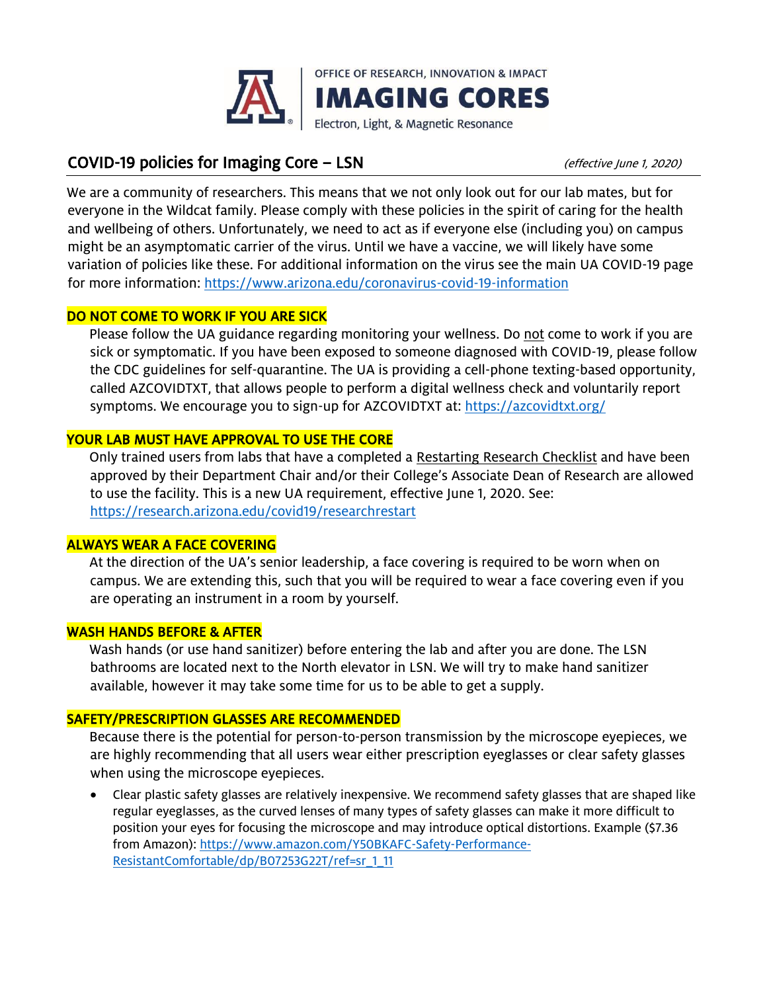

# COVID-19 policies for Imaging Core – LSN (effective June 1, 2020)

We are a community of researchers. This means that we not only look out for our lab mates, but for everyone in the Wildcat family. Please comply with these policies in the spirit of caring for the health and wellbeing of others. Unfortunately, we need to act as if everyone else (including you) on campus might be an asymptomatic carrier of the virus. Until we have a vaccine, we will likely have some variation of policies like these. For additional information on the virus see the main UA COVID-19 page for more information:<https://www.arizona.edu/coronavirus-covid-19-information>

## DO NOT COME TO WORK IF YOU ARE SICK

Please follow the UA guidance regarding monitoring your wellness. Do not come to work if you are sick or symptomatic. If you have been exposed to someone diagnosed with COVID-19, please follow the CDC guidelines for self-quarantine. The UA is providing a cell-phone texting-based opportunity, called AZCOVIDTXT, that allows people to perform a digital wellness check and voluntarily report symptoms. We encourage you to sign-up for AZCOVIDTXT at:<https://azcovidtxt.org/>

## YOUR LAB MUST HAVE APPROVAL TO USE THE CORE

Only trained users from labs that have a completed a Restarting Research Checklist and have been approved by their Department Chair and/or their College's Associate Dean of Research are allowed to use the facility. This is a new UA requirement, effective June 1, 2020. See: [https://research.arizona.edu/covid19/researchrestart](https://research.arizona.edu/covid19/research-restart)

### ALWAYS WEAR A FACE COVERING

At the direction of the UA's senior leadership, a face covering is required to be worn when on campus. We are extending this, such that you will be required to wear a face covering even if you are operating an instrument in a room by yourself.

### WASH HANDS BEFORE & AFTER

Wash hands (or use hand sanitizer) before entering the lab and after you are done. The LSN bathrooms are located next to the North elevator in LSN. We will try to make hand sanitizer available, however it may take some time for us to be able to get a supply.

### SAFETY/PRESCRIPTION GLASSES ARE RECOMMENDED

Because there is the potential for person-to-person transmission by the microscope eyepieces, we are highly recommending that all users wear either prescription eyeglasses or clear safety glasses when using the microscope eyepieces.

• Clear plastic safety glasses are relatively inexpensive. We recommend safety glasses that are shaped like regular eyeglasses, as the curved lenses of many types of safety glasses can make it more difficult to position your eyes for focusing the microscope and may introduce optical distortions. Example (\$7.36 from Amazon): [https://www.amazon.com/Y50BKAFC-Safety-Performance-](https://www.amazon.com/Y50BKAFC-Safety-Performance-Resistant-Comfortable/dp/B07253G22T/ref=sr_1_11)[ResistantComfortable/dp/B07253G22T/ref=sr\\_1\\_11](https://www.amazon.com/Y50BKAFC-Safety-Performance-Resistant-Comfortable/dp/B07253G22T/ref=sr_1_11)